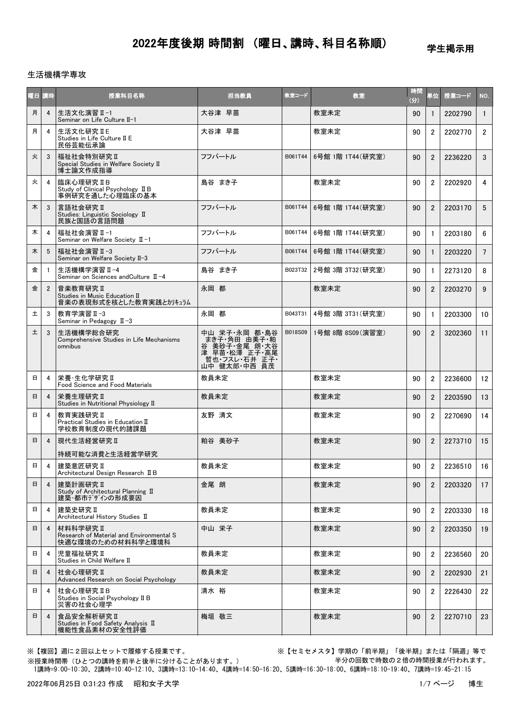学生掲示用

# 生活機構学専攻

| 曜日     | 請時             | 授業科目名称                                                                                                | 担当教員                                                                                            | 教室コード   | 教室                | 時間<br>(分) | 単位             | 授業コード   | NO.            |
|--------|----------------|-------------------------------------------------------------------------------------------------------|-------------------------------------------------------------------------------------------------|---------|-------------------|-----------|----------------|---------|----------------|
| 月      | $\overline{4}$ | 生活文化演習 II-1<br>Seminar on Life Culture II-1                                                           | 大谷津 早苗                                                                                          |         | 教室未定              | 90        | $\mathbf{1}$   | 2202790 | $\overline{1}$ |
| 月      | 4              | 生活文化研究IIE<br>Studies in Life Culture II E<br>民俗芸能伝承論                                                  | 大谷津 早苗                                                                                          |         | 教室未定              | 90        | $\overline{2}$ | 2202770 | $\overline{2}$ |
| 火      | 3              | 福祉社会特別研究Ⅱ<br>Special Studies in Welfare Society II<br>博士論文作成指導                                        | フフバートル                                                                                          | B061T44 | 6号館 1階 1T44 (研究室) | 90        | $\overline{2}$ | 2236220 | $\mathbf{3}$   |
| 火      | 4              | 臨床心理研究IB<br>Study of Clinical Psychology II B<br>事例研究を通した心理臨床の基本                                      | 島谷 まき子                                                                                          |         | 教室未定              | 90        | $\overline{2}$ | 2202920 | 4              |
| 木      | 3              | 言語社会研究 II<br>Studies: Linguistic Sociology II<br>民族と国語の言語問題                                           | フフバートル                                                                                          | B061T44 | 6号館 1階 1T44 (研究室) | 90        | $\overline{2}$ | 2203170 | 5              |
| 木      | 4              | 福祉社会演習Ⅱ-1<br>Seminar on Welfare Society II-1                                                          | フフバートル                                                                                          | B061T44 | 6号館 1階 1T44 (研究室) | 90        | $\mathbf{1}$   | 2203180 | 6              |
| 木      | 5              | 福祉社会演習 Ⅱ-3<br>Seminar on Welfare Society II-3                                                         | フフバートル                                                                                          | B061T44 | 6号館 1階 1T44 (研究室) | 90        | $\mathbf{1}$   | 2203220 | $7^{\circ}$    |
| 金      | $\overline{1}$ | 生活機構学演習Ⅱ-4<br>Seminar on Sciences and Culture II-4                                                    | 島谷 まき子                                                                                          | B023T32 | 2号館 3階 3T32(研究室)  | 90        | $\mathbf{1}$   | 2273120 | 8              |
| 金      | $\overline{2}$ | 音楽教育研究 II<br>Studies in Music Education II<br>音楽の表現形式を核とした教育実践とカリキュラム                                 | 永岡 都                                                                                            |         | 教室未定              | 90        | $\overline{2}$ | 2203270 | 9              |
| 土      | 3              | 教育学演習Ⅱ-3<br>Seminar in Pedagogy $\mathbb{I}$ -3                                                       | 永岡 都                                                                                            | B043T31 | 4号館 3階 3T31 (研究室) | 90        | $\mathbf{1}$   | 2203300 | 10             |
| Ŧ      | 3              | 生活機構学総合研究<br>Comprehensive Studies in Life Mechanisms<br>omnibus                                      | 中山 栄子 永岡 都 島谷<br>まき子 角田 由美子 粕<br>谷 美砂子 金尾 朗 大谷<br>津 早苗 松澤 正子 高尾<br>哲也 フスレ・石井 正子<br>山中 健太郎 中西 員茂 | B018S09 | 1号館 8階 8S09(演習室)  | 90        | $\overline{2}$ | 3202360 | 11             |
| 日      | 4              | 栄養·生化学研究Ⅱ<br>Food Science and Food Materials                                                          | 教員未定                                                                                            |         | 教室未定              | 90        | $\overline{2}$ | 2236600 | 12             |
| 日      | $\overline{4}$ | 栄養生理研究Ⅱ<br>Studies in Nutritional Physiology II                                                       | 教員未定                                                                                            |         | 教室未定              | 90        | $\overline{2}$ | 2203590 | 13             |
| $\Box$ | $\overline{4}$ | 教育実践研究II<br>Practical Studies in Education II<br>学校教育制度の現代的諸課題                                        | 友野 清文                                                                                           |         | 教室未定              | 90        | $\overline{2}$ | 2270690 | 14             |
| 日      | 4              | 現代生活経営研究Ⅱ                                                                                             | 粕谷 美砂子                                                                                          |         | 教室未定              | 90        | $\overline{2}$ | 2273710 | 15             |
| Ε.     | $\overline{4}$ | 持続可能な消費と生活経営学研究<br>建築意匠研究Ⅱ                                                                            | 教員未定                                                                                            |         | 教室未定              | 90        | $\mathfrak{p}$ | 2236510 | 16             |
| 日      | $\overline{4}$ | Architectural Design Research II B<br>建築計画研究Ⅱ<br>Study of Architectural Planning II<br>建築・都市デザインの形成要因 | 金尾 朗                                                                                            |         | 教室未定              | 90        | $\overline{2}$ | 2203320 | 17             |
| 日      | 4              | 建築史研究Ⅱ<br>Architectural History Studies II                                                            | 教員未定                                                                                            |         | 教室未定              | 90        | $\overline{2}$ | 2203330 | 18             |
| 日      | $\overline{4}$ | 材料科学研究II<br>Research of Material and Environmental S<br>快適な環境のための材料科学と環境科                             | 中山 栄子                                                                                           |         | 教室未定              | 90        | $\overline{2}$ | 2203350 | 19             |
| 日      | 4              | 児童福祉研究Ⅱ<br>Studies in Child Welfare II                                                                | 教員未定                                                                                            |         | 教室未定              | 90        | $\overline{2}$ | 2236560 | 20             |
| 日      | $\overline{4}$ | 社会心理研究Ⅱ<br>Advanced Research on Social Psychology                                                     | 教員未定                                                                                            |         | 教室未定              | 90        | $\overline{2}$ | 2202930 | 21             |
| 日      | 4              | 社会心理研究 II B<br>Studies in Social Psychology II B<br>災害の社会心理学                                          | 清水 裕                                                                                            |         | 教室未定              | 90        | $\overline{2}$ | 2226430 | 22             |
| 日      | $\overline{4}$ | 食品安全解析研究Ⅱ<br>Studies in Food Safety Analysis II<br>機能性食品素材の安全性評価                                      | 梅垣 敬三                                                                                           |         | 教室未定              | 90        | $\overline{2}$ | 2270710 | 23             |

※【複回】週に2回以上セットで履修する授業です。 ※【セミセメスタ】学期の「前半期」「後半期」または「隔週」等で 半分の回数で時数の2倍の時間授業が行われます。

 1講時=9:00-10:30、2講時=10:40-12:10、3講時=13:10-14:40、4講時=14:50-16:20、5講時=16:30-18:00、6講時=18:10-19:40、7講時=19:45-21:15 ※授業時間帯(ひとつの講時を前半と後半に分けることがあります。)

2022年06月25日 0:31:23 作成 昭和女子大学 1/7 ページ 博生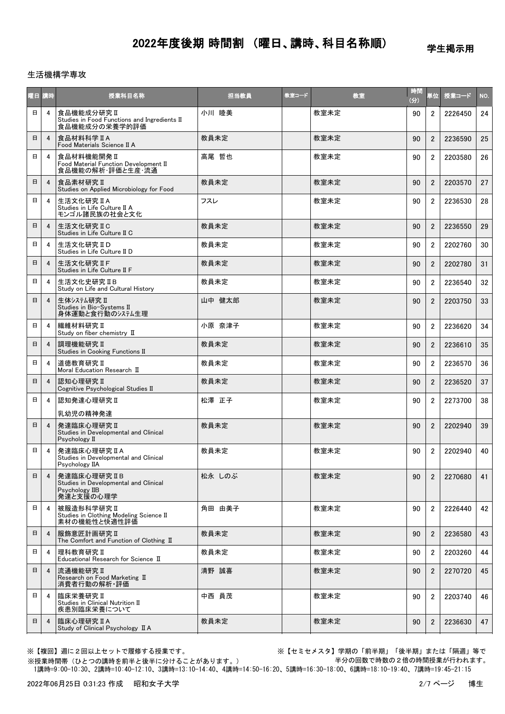学生掲示用

## 生活機構学専攻

| 曜日 | 講時             | 授業科目名称                                                                                | 担当教員   | 教室コード | 教室   | 時間<br>(分) | 単位             | 授業コード   | NO. |
|----|----------------|---------------------------------------------------------------------------------------|--------|-------|------|-----------|----------------|---------|-----|
| 日  | 4              | 食品機能成分研究Ⅱ<br>Studies in Food Functions and Ingredients II<br>食品機能成分の栄養学的評価            | 小川 睦美  |       | 教室未定 | 90        | $\overline{2}$ | 2226450 | 24  |
| 日  | $\overline{4}$ | 食品材料科学IA<br>Food Materials Science II A                                               | 教員未定   |       | 教室未定 | 90        | $\overline{2}$ | 2236590 | 25  |
| 日  | 4              | 食品材料機能開発Ⅱ<br>Food Material Function Development II<br>食品機能の解析・評価と生産・流通                | 高尾 哲也  |       | 教室未定 | 90        | $\overline{2}$ | 2203580 | 26  |
| 日  | $\overline{4}$ | 食品素材研究Ⅱ<br>Studies on Applied Microbiology for Food                                   | 教員未定   |       | 教室未定 | 90        | $\overline{2}$ | 2203570 | 27  |
| 日  | 4              | 生活文化研究 II A<br>Studies in Life Culture II A<br>モンゴル諸民族の社会と文化                          | フスレ    |       | 教室未定 | 90        | $\overline{2}$ | 2236530 | 28  |
| 日  | $\overline{4}$ | 生活文化研究IIC<br>Studies in Life Culture II C                                             | 教員未定   |       | 教室未定 | 90        | $\overline{2}$ | 2236550 | 29  |
| 日  | 4              | 生活文化研究ⅡD<br>Studies in Life Culture II D                                              | 教員未定   |       | 教室未定 | 90        | $\overline{2}$ | 2202760 | 30  |
| 日  | $\overline{4}$ | 生活文化研究ⅡF<br>Studies in Life Culture II F                                              | 教員未定   |       | 教室未定 | 90        | $\overline{2}$ | 2202780 | 31  |
| 日  | 4              | 生活文化史研究 IIB<br>Study on Life and Cultural History                                     | 教員未定   |       | 教室未定 | 90        | $\overline{2}$ | 2236540 | 32  |
| 日  | $\overline{4}$ | 生体システム研究Ⅱ<br>Studies in Bio-Systems II<br>身体運動と食行動のシステム生理                             | 山中 健太郎 |       | 教室未定 | 90        | $\overline{2}$ | 2203750 | 33  |
| 日  | 4              | 繊維材料研究 II<br>Study on fiber chemistry II                                              | 小原 奈津子 |       | 教室未定 | 90        | $\overline{2}$ | 2236620 | 34  |
| 日  | 4              | 調理機能研究Ⅱ<br>Studies in Cooking Functions II                                            | 教員未定   |       | 教室未定 | 90        | $\overline{2}$ | 2236610 | 35  |
| 日  | 4              | 道徳教育研究 II<br>Moral Education Research II                                              | 教員未定   |       | 教室未定 | 90        | $\overline{2}$ | 2236570 | 36  |
| 日  | $\overline{4}$ | 認知心理研究Ⅱ<br>Cognitive Psychological Studies II                                         | 教員未定   |       | 教室未定 | 90        | $\overline{2}$ | 2236520 | 37  |
| 日  | 4              | 認知発達心理研究Ⅱ                                                                             | 松澤 正子  |       | 教室未定 | 90        | $\overline{2}$ | 2273700 | 38  |
|    |                | 乳幼児の精神発達                                                                              |        |       |      |           |                |         |     |
| 日  | $\overline{4}$ | 発達臨床心理研究Ⅱ<br>Studies in Developmental and Clinical<br>Psychology II                   | 教員未定   |       | 教室未定 | 90        | $\overline{2}$ | 2202940 | 39  |
| 日  | 4              | 発達臨床心理研究IA<br>Studies in Developmental and Clinical<br>Psychology IIA                 | 教員未定   |       | 教室未定 | 90        | $\overline{2}$ | 2202940 | 40  |
| 日  | $\overline{4}$ | 発達臨床心理研究 II B<br>Studies in Developmental and Clinical<br>Psychology IIB<br>発達と支援の心理学 | 松永しのぶ  |       | 教室未定 | 90        | $\overline{2}$ | 2270680 | 41  |
| 日  | 4              | 被服造形科学研究Ⅱ<br>Studies in Clothing Modeling Science II<br>素材の機能性と快適性評価                  | 角田 由美子 |       | 教室未定 | 90        | $\overline{2}$ | 2226440 | 42  |
| 日  | $\overline{4}$ | 服飾意匠計画研究Ⅱ<br>The Comfort and Function of Clothing II                                  | 教員未定   |       | 教室未定 | 90        | $\overline{2}$ | 2236580 | 43  |
| 日  | 4              | 理科教育研究Ⅱ<br>Educational Research for Science II                                        | 教員未定   |       | 教室未定 | 90        | $\overline{2}$ | 2203260 | 44  |
| 日  | $\overline{4}$ | 流通機能研究Ⅱ<br>Research on Food Marketing II<br>消費者行動の解析・評価                               | 清野 誠喜  |       | 教室未定 | 90        | $\overline{2}$ | 2270720 | 45  |
| 日  | 4              | 臨床栄養研究Ⅱ<br>Studies in Clinical Nutrition II<br>疾患別臨床栄養について                            | 中西 員茂  |       | 教室未定 | 90        | $\overline{2}$ | 2203740 | 46  |
| 日  | $\overline{4}$ | 臨床心理研究 II A<br>Study of Clinical Psychology II A                                      | 教員未定   |       | 教室未定 | 90        | $\overline{2}$ | 2236630 | 47  |

※【複回】週に2回以上セットで履修する授業です。 ※【セミセメスタ】学期の「前半期」「後半期」または「隔週」等で 半分の回数で時数の2倍の時間授業が行われます。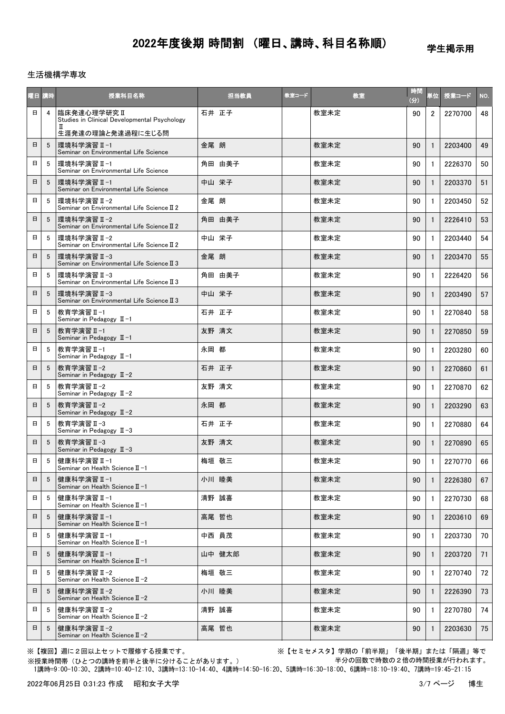学生掲示用

# 生活機構学専攻

| 曜日 講時 |   | 授業科目名称                                                     |      | 担当教員   | 教室コード | 教室   | 時間<br>(分) | 単位           | 授業コード   | NO. |
|-------|---|------------------------------------------------------------|------|--------|-------|------|-----------|--------------|---------|-----|
| 日     | 4 | 臨床発達心理学研究Ⅱ<br>Studies in Clinical Developmental Psychology |      | 石井 正子  |       | 教室未定 | 90        | 2            | 2270700 | 48  |
|       |   | 生涯発達の理論と発達過程に生じる問                                          |      |        |       |      |           |              |         |     |
| 日     | 5 | 環境科学演習 II-1<br>Seminar on Environmental Life Science       | 金尾 朗 |        |       | 教室未定 | 90        | $\mathbf{1}$ | 2203400 | 49  |
| 日     | 5 | 環境科学演習 II-1<br>Seminar on Environmental Life Science       |      | 角田 由美子 |       | 教室未定 | 90        | $\mathbf{1}$ | 2226370 | 50  |
| 日     | 5 | 環境科学演習 Ⅱ −1<br>Seminar on Environmental Life Science       |      | 中山 栄子  |       | 教室未定 | 90        | $\mathbf{1}$ | 2203370 | 51  |
| 日     | 5 | 環境科学演習 II-2<br>Seminar on Environmental Life Science II 2  | 金尾 朗 |        |       | 教室未定 | 90        | $\mathbf{1}$ | 2203450 | 52  |
| 日     | 5 | 環境科学演習 II-2<br>Seminar on Environmental Life Science II 2  |      | 角田 由美子 |       | 教室未定 | 90        | $\mathbf{1}$ | 2226410 | 53  |
| 日     | 5 | 環境科学演習Ⅱ-2<br>Seminar on Environmental Life Science II 2    |      | 中山 栄子  |       | 教室未定 | 90        | $\mathbf{1}$ | 2203440 | 54  |
| 日     | 5 | 環境科学演習 II-3<br>Seminar on Environmental Life Science II 3  | 金尾 朗 |        |       | 教室未定 | 90        | $\mathbf{1}$ | 2203470 | 55  |
| 日     | 5 | 環境科学演習 II-3<br>Seminar on Environmental Life Science II 3  |      | 角田 由美子 |       | 教室未定 | 90        | $\mathbf{1}$ | 2226420 | 56  |
| 日     | 5 | 環境科学演習Ⅱ-3<br>Seminar on Environmental Life Science II 3    |      | 中山 栄子  |       | 教室未定 | 90        | $\mathbf{1}$ | 2203490 | 57  |
| 日     | 5 | 教育学演習 Ⅱ-1<br>Seminar in Pedagogy $II -1$                   |      | 石井 正子  |       | 教室未定 | 90        | $\mathbf{1}$ | 2270840 | 58  |
| 日     | 5 | 教育学演習 Ⅱ-1<br>Seminar in Pedagogy $II -1$                   |      | 友野 清文  |       | 教室未定 | 90        | $\mathbf{1}$ | 2270850 | 59  |
| 日     | 5 | 教育学演習Ⅱ-1<br>Seminar in Pedagogy $II -1$                    | 永岡 都 |        |       | 教室未定 | 90        | $\mathbf{1}$ | 2203280 | 60  |
| 日     | 5 | 教育学演習 Ⅱ-2<br>Seminar in Pedagogy $\mathbb{I}$ -2           |      | 石井 正子  |       | 教室未定 | 90        | $\mathbf{1}$ | 2270860 | 61  |
| 日     | 5 | 教育学演習 II-2<br>Seminar in Pedagogy $\mathbb{I}$ -2          |      | 友野 清文  |       | 教室未定 | 90        | $\mathbf{1}$ | 2270870 | 62  |
| 日     | 5 | 教育学演習 Ⅱ-2<br>Seminar in Pedagogy $\mathbb{I}$ -2           | 永岡 都 |        |       | 教室未定 | 90        | $\mathbf{1}$ | 2203290 | 63  |
| 日     | 5 | 教育学演習 Ⅱ-3<br>Seminar in Pedagogy $II -3$                   |      | 石井 正子  |       | 教室未定 | 90        | $\mathbf{1}$ | 2270880 | 64  |
| 日     | 5 | 教育学演習Ⅱ-3<br>Seminar in Pedagogy $\mathbb{I}$ -3            |      | 友野 清文  |       | 教室未定 | 90        | $\mathbf{1}$ | 2270890 | 65  |
| 日     | 5 | 健康科学演習 Ⅱ-1<br>Seminar on Health Science II-1               |      | 梅垣 敬三  |       | 教室未定 | 90        | $\mathbf{1}$ | 2270770 | 66  |
| 日     | 5 | 健康科学演習 Ⅱ-1<br>Seminar on Health Science II-1               |      | 小川 睦美  |       | 教室未定 | 90        | $\mathbf{1}$ | 2226380 | 67  |
| 日     | 5 | 健康科学演習 Ⅱ −1<br>Seminar on Health Science II-1              |      | 清野 誠喜  |       | 教室未定 | 90        | $\mathbf{1}$ | 2270730 | 68  |
| 日     | 5 | 健康科学演習 Ⅱ-1<br>Seminar on Health Science II-1               |      | 高尾 哲也  |       | 教室未定 | 90        | 1            | 2203610 | 69  |
| 日     | 5 | 健康科学演習 Ⅱ-1<br>Seminar on Health Science II-1               |      | 中西 員茂  |       | 教室未定 | 90        | 1            | 2203730 | 70  |
| 日     | 5 | 健康科学演習 Ⅱ −1<br>Seminar on Health Science II-1              |      | 山中 健太郎 |       | 教室未定 | 90        | $\mathbf{1}$ | 2203720 | 71  |
| 日     | 5 | 健康科学演習 Ⅱ-2<br>Seminar on Health Science II-2               |      | 梅垣 敬三  |       | 教室未定 | 90        | $\mathbf{1}$ | 2270740 | 72  |
| 日     | 5 | 健康科学演習 Ⅱ −2<br>Seminar on Health Science $II - 2$          |      | 小川 睦美  |       | 教室未定 | 90        | $\mathbf{1}$ | 2226390 | 73  |
| 日     | 5 | 健康科学演習 Ⅱ −2<br>Seminar on Health Science II-2              |      | 清野 誠喜  |       | 教室未定 | 90        | $\mathbf{1}$ | 2270780 | 74  |
| 日     | 5 | 健康科学演習 Ⅱ-2<br>Seminar on Health Science II-2               |      | 高尾 哲也  |       | 教室未定 | 90        | 1            | 2203630 | 75  |

※【複回】週に2回以上セットで履修する授業です。 ※【セミセメスタ】学期の「前半期」「後半期」または「隔週」等で 半分の回数で時数の2倍の時間授業が行われます。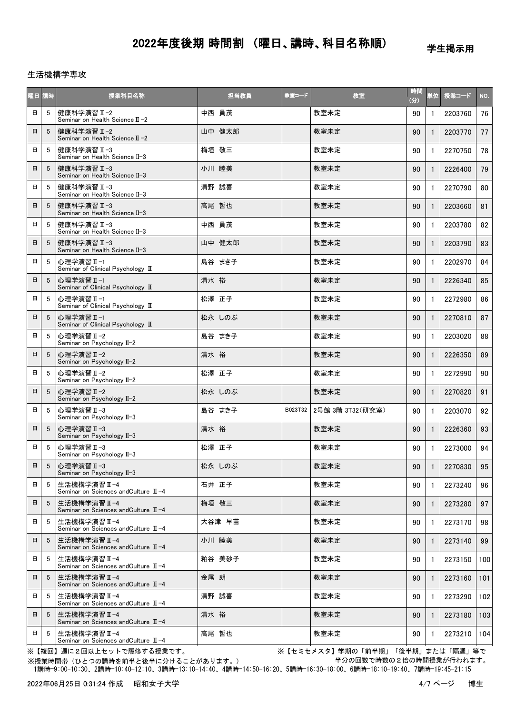学生掲示用

# 生活機構学専攻

| 曜日 講時 |                | 授業科目名称                                               |       | 担当教員   | 教室コード   | 教室               | 時間<br>$\langle \hat{H} \rangle$ | 単位           | 授業コード   | NO. |
|-------|----------------|------------------------------------------------------|-------|--------|---------|------------------|---------------------------------|--------------|---------|-----|
| 日     | 5              | 健康科学演習 Ⅱ-2<br>Seminar on Health Science II-2         | 中西 員茂 |        |         | 教室未定             | 90                              | 1            | 2203760 | 76  |
| 日     | 5              | 健康科学演習Ⅱ-2<br>Seminar on Health Science II-2          |       | 山中 健太郎 |         | 教室未定             | 90                              | 1            | 2203770 | 77  |
| 日     | 5              | 健康科学演習 Ⅱ-3<br>Seminar on Health Science II-3         | 梅垣 敬三 |        |         | 教室未定             | 90                              | $\mathbf{1}$ | 2270750 | 78  |
| 日     | 5              | 健康科学演習Ⅱ-3<br>Seminar on Health Science II-3          | 小川 睦美 |        |         | 教室未定             | 90                              | 1            | 2226400 | 79  |
| 日     | 5              | 健康科学演習 II-3<br>Seminar on Health Science II-3        | 清野 誠喜 |        |         | 教室未定             | 90                              | $\mathbf{1}$ | 2270790 | 80  |
| 日     | 5              | 健康科学演習 Ⅱ-3<br>Seminar on Health Science II-3         | 高尾 哲也 |        |         | 教室未定             | 90                              |              | 2203660 | 81  |
| 日     | 5              | 健康科学演習 Ⅱ −3<br>Seminar on Health Science II-3        |       | 中西 員茂  |         | 教室未定             | 90                              | $\mathbf{1}$ | 2203780 | 82  |
| 日     | 5              | 健康科学演習 Ⅱ-3<br>Seminar on Health Science II-3         |       | 山中 健太郎 |         | 教室未定             | 90                              | $\mathbf{1}$ | 2203790 | 83  |
| 日     | 5              | 心理学演習Ⅱ-1<br>Seminar of Clinical Psychology II        |       | 島谷 まき子 |         | 教室未定             | 90                              | 1            | 2202970 | 84  |
| 日     | 5              | 心理学演習Ⅱ-1<br>Seminar of Clinical Psychology II        | 清水 裕  |        |         | 教室未定             | 90                              | 1            | 2226340 | 85  |
| 日     | 5              | 心理学演習 II-1<br>Seminar of Clinical Psychology II      |       | 松澤 正子  |         | 教室未定             | 90                              | 1            | 2272980 | 86  |
| 日     | 5              | 心理学演習Ⅱ-1<br>Seminar of Clinical Psychology II        |       | 松永しのぶ  |         | 教室未定             | 90                              |              | 2270810 | 87  |
| 日     | 5              | 心理学演習Ⅱ-2<br>Seminar on Psychology II-2               |       | 島谷 まき子 |         | 教室未定             | 90                              | $\mathbf{1}$ | 2203020 | 88  |
| 日     | 5              | 心理学演習 Ⅱ-2<br>Seminar on Psychology II-2              | 清水 裕  |        |         | 教室未定             | 90                              | $\mathbf{1}$ | 2226350 | 89  |
| 日     | 5              | 心理学演習Ⅱ-2<br>Seminar on Psychology II-2               | 松澤 正子 |        |         | 教室未定             | 90                              | $\mathbf{1}$ | 2272990 | 90  |
| 日     | 5              | 心理学演習Ⅱ-2<br>Seminar on Psychology II-2               |       | 松永しのぶ  |         | 教室未定             | 90                              | 1            | 2270820 | 91  |
| 日     | 5              | 心理学演習 II-3<br>Seminar on Psychology II-3             |       | 島谷 まき子 | B023T32 | 2号館 3階 3T32(研究室) | 90                              | $\mathbf{1}$ | 2203070 | 92  |
| 日     | 5              | 心理学演習Ⅱ-3<br>Seminar on Psychology II-3               | 清水 裕  |        |         | 教室未定             | 90                              |              | 2226360 | 93  |
| 日     | 5              | 心理学演習Ⅱ-3<br>Seminar on Psychology II-3               | 松澤 正子 |        |         | 教室未定             | 90                              | $\mathbf{1}$ | 2273000 | 94  |
| 日     | 5 <sup>5</sup> | 心理学演習Ⅱ-3<br>Seminar on Psychology II-3               |       | 松永 しのぶ |         | 教室未定             | 90                              | $\mathbf{1}$ | 2270830 | 95  |
| 日     | 5              | 生活機構学演習 II-4<br>Seminar on Sciences and Culture II-4 |       | 石井 正子  |         | 教室未定             | 90                              | 1            | 2273240 | 96  |
| 日     | 5              | 生活機構学演習 Ⅱ −4<br>Seminar on Sciences andCulture II-4  |       | 梅垣 敬三  |         | 教室未定             | 90                              |              | 2273280 | 97  |
| 日     | -5             | 生活機構学演習 Ⅱ-4<br>Seminar on Sciences and Culture II-4  |       | 大谷津 早苗 |         | 教室未定             | 90                              | 1            | 2273170 | 98  |
| 日     | 5              | 生活機構学演習 Ⅱ-4<br>Seminar on Sciences and Culture II-4  |       | 小川 睦美  |         | 教室未定             | 90                              | 1            | 2273140 | 99  |
| 日     | 5              | 生活機構学演習 Ⅱ-4<br>Seminar on Sciences and Culture II-4  |       | 粕谷 美砂子 |         | 教室未定             | 90                              | $\mathbf{1}$ | 2273150 | 100 |
| 日     | 5              | 生活機構学演習 II-4<br>Seminar on Sciences andCulture II-4  | 金尾 朗  |        |         | 教室未定             | 90                              |              | 2273160 | 101 |
| 日     | -5             | 生活機構学演習 Ⅱ −4<br>Seminar on Sciences and Culture II-4 | 清野 誠喜 |        |         | 教室未定             | 90                              | 1            | 2273290 | 102 |
| 日     | 5              | 生活機構学演習Ⅱ-4<br>Seminar on Sciences andCulture II-4    | 清水 裕  |        |         | 教室未定             | 90                              | 1            | 2273180 | 103 |
| 日     | 5              | 生活機構学演習 II-4<br>Seminar on Sciences and Culture II-4 | 高尾 哲也 |        |         | 教室未定             | 90                              | 1            | 2273210 | 104 |

※【複回】週に2回以上セットで履修する授業です。 ※【セミセメスタ】学期の「前半期」「後半期」または「隔週」等で 半分の回数で時数の2倍の時間授業が行われます。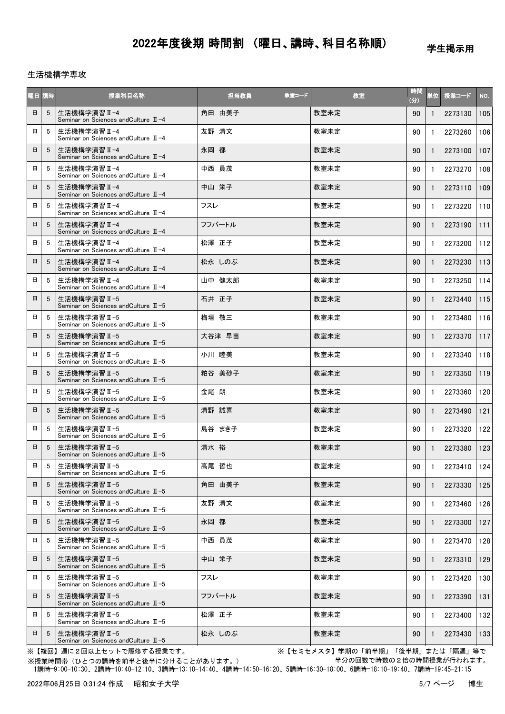学生掲示用

# 生活機構学専攻

| 曜日 講時 |                 | 授業科目名称                                               | 担当教員   | 教室コード | 教室   | 時間<br>(分) | 単位             | 授業コード   | NO. |
|-------|-----------------|------------------------------------------------------|--------|-------|------|-----------|----------------|---------|-----|
| 日     | 5               | 生活機構学演習 Ⅱ-4<br>Seminar on Sciences and Culture II-4  | 角田 由美子 |       | 教室未定 | 90        | $\mathbf{1}$   | 2273130 | 105 |
| 日     | -5              | 生活機構学演習 Ⅱ −4<br>Seminar on Sciences andCulture II-4  | 友野 清文  |       | 教室未定 | 90        | $\mathbf{1}$   | 2273260 | 106 |
| 日     | 5               | 生活機構学演習 Ⅱ-4<br>Seminar on Sciences and Culture II-4  | 永岡 都   |       | 教室未定 | 90        | $\mathbf{1}$   | 2273100 | 107 |
| 日     | 5               | 生活機構学演習 Ⅱ-4<br>Seminar on Sciences and Culture II-4  | 中西 員茂  |       | 教室未定 | 90        | $\mathbf{1}$   | 2273270 | 108 |
| 日     | 5               | 生活機構学演習 Ⅱ-4<br>Seminar on Sciences and Culture II-4  | 中山 栄子  |       | 教室未定 | 90        | $\mathbf{1}$   | 2273110 | 109 |
| 日     | 5               | 生活機構学演習 II-4<br>Seminar on Sciences andCulture II-4  | フスレ    |       | 教室未定 | 90        | $\mathbf{1}$   | 2273220 | 110 |
| 日     | 5               | 生活機構学演習 Ⅱ-4<br>Seminar on Sciences and Culture II-4  | フフバートル |       | 教室未定 | 90        | $\mathbf{1}$   | 2273190 | 111 |
| 日     | 5               | 生活機構学演習 Ⅱ −4<br>Seminar on Sciences and Culture II-4 | 松澤 正子  |       | 教室未定 | 90        | $\mathbf{1}$   | 2273200 | 112 |
| 日     | 5               | 生活機構学演習 Ⅱ-4<br>Seminar on Sciences and Culture II-4  | 松永しのぶ  |       | 教室未定 | 90        | $\mathbf{1}$   | 2273230 | 113 |
| 日     | 5               | 生活機構学演習 Ⅱ-4<br>Seminar on Sciences andCulture II-4   | 山中 健太郎 |       | 教室未定 | 90        | $\mathbf{1}$   | 2273250 | 114 |
| 日     | 5               | 生活機構学演習Ⅱ-5<br>Seminar on Sciences and Culture II-5   | 石井 正子  |       | 教室未定 | 90        | $\mathbf{1}$   | 2273440 | 115 |
| 日     | 5               | 生活機構学演習 II-5<br>Seminar on Sciences and Culture II-5 | 梅垣 敬三  |       | 教室未定 | 90        | $\mathbf{1}$   | 2273480 | 116 |
| 日     | 5               | 生活機構学演習 Ⅱ −5<br>Seminar on Sciences and Culture II-5 | 大谷津 早苗 |       | 教室未定 | 90        | $\mathbf{1}$   | 2273370 | 117 |
| 日     | 5               | 生活機構学演習 II-5<br>Seminar on Sciences andCulture II-5  | 小川 睦美  |       | 教室未定 | 90        | $\mathbf{1}$   | 2273340 | 118 |
| 日     | 5               | 生活機構学演習Ⅱ-5<br>Seminar on Sciences andCulture II-5    | 粕谷 美砂子 |       | 教室未定 | 90        | $\mathbf{1}$   | 2273350 | 119 |
| 日     | 5               | 生活機構学演習Ⅱ-5<br>Seminar on Sciences and Culture II-5   | 金尾 朗   |       | 教室未定 | 90        | $\mathbf{1}$   | 2273360 | 120 |
| 日     | 5               | 生活機構学演習 II-5<br>Seminar on Sciences and Culture II-5 | 清野 誠喜  |       | 教室未定 | 90        | $\mathbf{1}$   | 2273490 | 121 |
| 日     | 5               | 生活機構学演習 II-5<br>Seminar on Sciences and Culture II-5 | 島谷 まき子 |       | 教室未定 | 90        | $\mathbf{1}$   | 2273320 | 122 |
| 日     | -5              | 生活機構学演習Ⅱ-5<br>Seminar on Sciences and Culture II-5   | 清水 裕   |       | 教室未定 | 90        | $\mathbf{1}$   | 2273380 | 123 |
| 日     | $5\phantom{.0}$ | 生活機構学演習 II-5<br>Seminar on Sciences and Culture II-5 | 高尾 哲也  |       | 教室未定 | 90        | $\overline{1}$ | 2273410 | 124 |
| 日     | 5               | 生活機構学演習 II-5<br>Seminar on Sciences and Culture II-5 | 角田 由美子 |       | 教室未定 | 90        |                | 2273330 | 125 |
| 日     | 5               | 生活機構学演習Ⅱ-5<br>Seminar on Sciences and Culture II-5   | 友野 清文  |       | 教室未定 | 90        | $\mathbf{1}$   | 2273460 | 126 |
| 日     | -5              | 生活機構学演習Ⅱ-5<br>Seminar on Sciences and Culture II-5   | 永岡 都   |       | 教室未定 | 90        | $\mathbf{1}$   | 2273300 | 127 |
| 日     | 5               | 生活機構学演習 II-5<br>Seminar on Sciences and Culture II-5 | 中西 員茂  |       | 教室未定 | 90        | $\mathbf{1}$   | 2273470 | 128 |
| 日     | 5               | 生活機構学演習Ⅱ-5<br>Seminar on Sciences and Culture II-5   | 中山 栄子  |       | 教室未定 | 90        | $\mathbf{1}$   | 2273310 | 129 |
| 日     | 5               | 生活機構学演習 II-5<br>Seminar on Sciences andCulture II-5  | フスレ    |       | 教室未定 | 90        | 1              | 2273420 | 130 |
| 日     | 5               | 生活機構学演習 II-5<br>Seminar on Sciences and Culture II-5 | フフバートル |       | 教室未定 | 90        | 1              | 2273390 | 131 |
| 日     | -5              | 生活機構学演習Ⅱ-5<br>Seminar on Sciences and Culture II-5   | 松澤 正子  |       | 教室未定 | 90        | $\mathbf{1}$   | 2273400 | 132 |
| 日     | 5               | 生活機構学演習Ⅱ-5<br>Seminar on Sciences and Culture II-5   | 松永 しのぶ |       | 教室未定 | 90        | 1              | 2273430 | 133 |

※【複回】週に2回以上セットで履修する授業です。 インファイン インストン ※【セミセメスタ】学期の「前半期」「後半期」または「隔週」等で 半分の回数で時数の2倍の時間授業が行われます。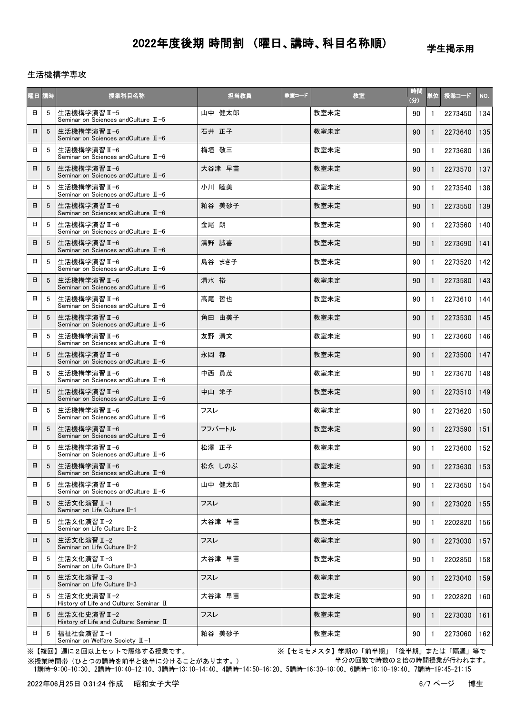学生掲示用

# 生活機構学専攻

| 曜日 講時                                  |                | 授業科目名称                                                             | 担当教員   | 教室コード | 教室   | 時間<br>(分) | 単位             | 授業コード   | NO. |
|----------------------------------------|----------------|--------------------------------------------------------------------|--------|-------|------|-----------|----------------|---------|-----|
| 日                                      | 5              | 生活機構学演習 II-5<br>Seminar on Sciences and Culture II-5               | 山中 健太郎 |       | 教室未定 | 90        | $\mathbf{1}$   | 2273450 | 134 |
| 日                                      | 5              | 生活機構学演習 Ⅱ −6<br>Seminar on Sciences andCulture II-6                | 石井 正子  |       | 教室未定 | 90        | $\mathbf{1}$   | 2273640 | 135 |
| 日                                      | 5              | 生活機構学演習 II-6<br>Seminar on Sciences and Culture II-6               | 梅垣 敬三  |       | 教室未定 | 90        | $\mathbf{1}$   | 2273680 | 136 |
| 日                                      | 5              | 生活機構学演習Ⅱ-6<br>Seminar on Sciences and Culture II-6                 | 大谷津 早苗 |       | 教室未定 | 90        | $\mathbf{1}$   | 2273570 | 137 |
| 日                                      | 5              | 生活機構学演習Ⅱ-6<br>Seminar on Sciences and Culture II-6                 | 小川 睦美  |       | 教室未定 | 90        | $\mathbf{1}$   | 2273540 | 138 |
| 日                                      | 5              | 生活機構学演習Ⅱ-6<br>Seminar on Sciences and Culture II-6                 | 粕谷 美砂子 |       | 教室未定 | 90        | $\mathbf{1}$   | 2273550 | 139 |
| 日                                      | 5              | 生活機構学演習Ⅱ-6<br>Seminar on Sciences andCulture II-6                  | 金尾 朗   |       | 教室未定 | 90        | $\mathbf{1}$   | 2273560 | 140 |
| 日                                      | 5              | 生活機構学演習 Ⅱ −6<br>Seminar on Sciences and Culture II-6               | 清野 誠喜  |       | 教室未定 | 90        | $\mathbf{1}$   | 2273690 | 141 |
| 日                                      | 5              | 生活機構学演習 II-6<br>Seminar on Sciences andCulture II-6                | 島谷 まき子 |       | 教室未定 | 90        | $\mathbf{1}$   | 2273520 | 142 |
| 日                                      | 5              | 生活機構学演習Ⅱ-6<br>Seminar on Sciences andCulture II-6                  | 清水 裕   |       | 教室未定 | 90        | $\mathbf{1}$   | 2273580 | 143 |
| 日                                      | 5              | 生活機構学演習Ⅱ-6<br>Seminar on Sciences and Culture II-6                 | 高尾 哲也  |       | 教室未定 | 90        | $\mathbf{1}$   | 2273610 | 144 |
| 日                                      | 5              | 生活機構学演習Ⅱ-6<br>Seminar on Sciences and Culture II-6                 | 角田 由美子 |       | 教室未定 | 90        | 1              | 2273530 | 145 |
| 日                                      | 5              | 生活機構学演習Ⅱ-6<br>Seminar on Sciences andCulture II-6                  | 友野 清文  |       | 教室未定 | 90        | $\mathbf{1}$   | 2273660 | 146 |
| 日                                      | 5              | 生活機構学演習Ⅱ-6<br>Seminar on Sciences and Culture II-6                 | 永岡 都   |       | 教室未定 | 90        | $\mathbf{1}$   | 2273500 | 147 |
| 日                                      | 5              | 生活機構学演習Ⅱ-6<br>Seminar on Sciences andCulture II-6                  | 中西 員茂  |       | 教室未定 | 90        | $\mathbf{1}$   | 2273670 | 148 |
| 日                                      | 5              | 生活機構学演習 Ⅱ −6<br>Seminar on Sciences and Culture II-6               | 中山 栄子  |       | 教室未定 | 90        | $\mathbf{1}$   | 2273510 | 149 |
| 日                                      | 5              | 生活機構学演習Ⅱ-6<br>Seminar on Sciences and Culture II-6                 | フスレ    |       | 教室未定 | 90        | $\mathbf{1}$   | 2273620 | 150 |
| 日                                      | 5              | 生活機構学演習Ⅱ-6<br>Seminar on Sciences and Culture II-6                 | フフバートル |       | 教室未定 | 90        | $\mathbf{1}$   | 2273590 | 151 |
| 日                                      | 5              | 生活機構学演習Ⅱ-6<br>Seminar on Sciences and Culture II-6                 | 松澤 正子  |       | 教室未定 | 90        | $\mathbf{1}$   | 2273600 | 152 |
| $\begin{array}{c} \square \end{array}$ | 5 <sup>5</sup> | <b>生活機構学演習Ⅱ-6</b><br>Seminar on Sciences and Culture $\text{I}$ -6 | 松永 しのぶ |       | 教室未定 | 90        | $\overline{1}$ | 2273630 | 153 |
| 日                                      | 5              | 生活機構学演習Ⅱ-6<br>Seminar on Sciences and Culture II-6                 | 山中 健太郎 |       | 教室未定 | 90        | 1              | 2273650 | 154 |
| 日                                      | 5              | 生活文化演習Ⅱ-1<br>Seminar on Life Culture II-1                          | フスレ    |       | 教室未定 | 90        | $\mathbf{1}$   | 2273020 | 155 |
| 日                                      | 5              | 生活文化演習Ⅱ-2<br>Seminar on Life Culture II-2                          | 大谷津 早苗 |       | 教室未定 | 90        | $\mathbf{1}$   | 2202820 | 156 |
| 日                                      | 5              | 生活文化演習 II-2<br>Seminar on Life Culture II-2                        | フスレ    |       | 教室未定 | 90        | 1              | 2273030 | 157 |
| 日                                      | .5             | 生活文化演習Ⅱ-3<br>Seminar on Life Culture II-3                          | 大谷津 早苗 |       | 教室未定 | 90        | $\mathbf{1}$   | 2202850 | 158 |
| 日                                      | 5              | 生活文化演習 II-3<br>Seminar on Life Culture II-3                        | フスレ    |       | 教室未定 | 90        | $\mathbf{1}$   | 2273040 | 159 |
| 日                                      | 5              | 生活文化史演習Ⅱ-2<br>History of Life and Culture: Seminar II              | 大谷津 早苗 |       | 教室未定 | 90        | 1              | 2202820 | 160 |
| 日                                      | 5              | 生活文化史演習 Ⅱ −2<br>History of Life and Culture: Seminar II            | フスレ    |       | 教室未定 | 90        | $\mathbf{1}$   | 2273030 | 161 |
| 日                                      | 5              | 福祉社会演習 Ⅱ −1<br>Seminar on Welfare Society II-1                     | 粕谷 美砂子 |       | 教室未定 | 90        | 1              | 2273060 | 162 |

※授業時間帯(ひとつの講時を前半と後半に分けることがあります。) ※【複回】週に2回以上セットで履修する授業です。 ※【セミセメスタ】学期の「前半期」「後半期」または「隔週」等で 半分の回数で時数の2倍の時間授業が行われます。

1講時=9:00-10:30、2講時=10:40-12:10、3講時=13:10-14:40、4講時=14:50-16:20、5講時=16:30-18:00、6講時=18:10-19:40、7講時=19:45-21:15